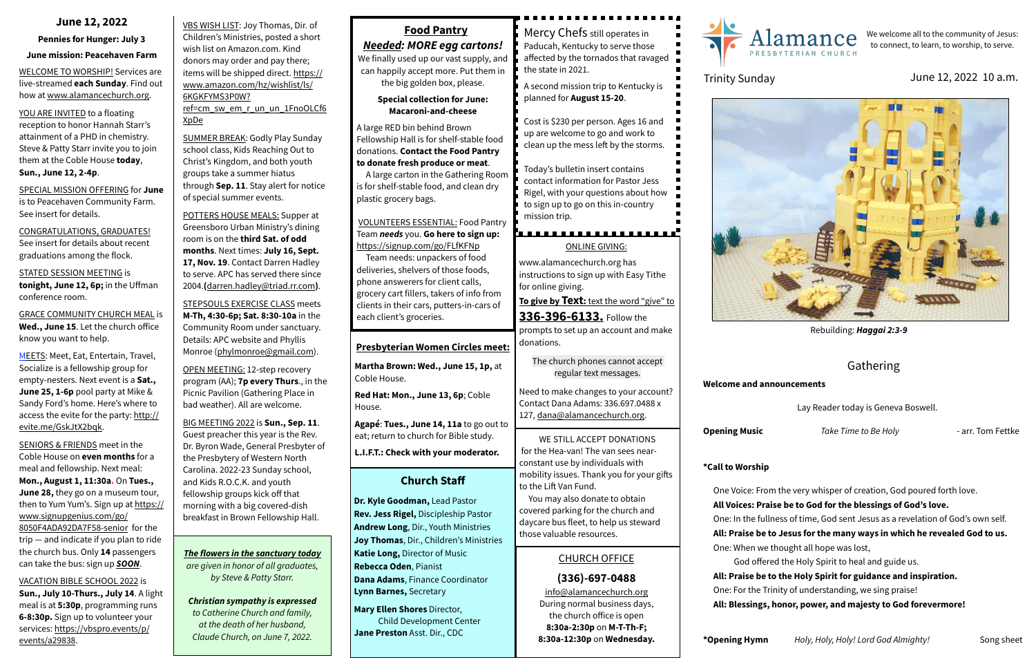VBS WISH LIST: Joy Thomas, Dir. of Children's Ministries, posted a short wish list on Amazon.com. Kind donors may order and pay there; [items will be shipped direct. https://](https://www.amazon.com/hz/wishlist/ls/6KGKFYMS3P0W?ref=cm_sw_em_r_un_un_1FnoOLCf6XpDe) [www.amazon.com/hz/wishlist/ls/](https://www.amazon.com/hz/wishlist/ls/6KGKFYMS3P0W?ref=cm_sw_em_r_un_un_1FnoOLCf6XpDe) [6KGKFYMS3P0W?](https://www.amazon.com/hz/wishlist/ls/6KGKFYMS3P0W?ref=cm_sw_em_r_un_un_1FnoOLCf6XpDe) [ref=cm\\_sw\\_em\\_r\\_un\\_un\\_1FnoOLCf6](https://www.amazon.com/hz/wishlist/ls/6KGKFYMS3P0W?ref=cm_sw_em_r_un_un_1FnoOLCf6XpDe)

[XpDe](https://www.amazon.com/hz/wishlist/ls/6KGKFYMS3P0W?ref=cm_sw_em_r_un_un_1FnoOLCf6XpDe)

SUMMER BREAK: Godly Play Sunday school class, Kids Reaching Out to Christ's Kingdom, and both youth groups take a summer hiatus through **Sep. 11**. Stay alert for notice of special summer events.

POTTERS HOUSE MEALS: Supper at Greensboro Urban Ministry's dining room is on the **third Sat. of odd months**. Next times: **July 16, Sept. 17, Nov. 19**. Contact Darren Hadley to serve. APC has served there since 2004.**(**[darren.hadley@triad.rr.com](mailto:darren.hadley@triad.rr.com)**)**.

STEPSOULS EXERCISE CLASS meets **M-Th, 4:30-6p; Sat. 8:30-10a** in the Community Room under sanctuary. Details: APC website and Phyllis Monroe ([phylmonroe@gmail.com](mailto:phylmonroe@gmail.com)).

YOU ARE INVITED to a floating reception to honor Hannah Starr's attainment of a PHD in chemistry. Steve & Patty Starr invite you to join them at the Coble House **today**, **Sun., June 12, 2-4p**.

> OPEN MEETING: 12-step recovery program (AA); **7p every Thurs**., in the Picnic Pavilion (Gathering Place in bad weather). All are welcome.

BIG MEETING 2022 is **Sun., Sep. 11**. Guest preacher this year is the Rev. Dr. Byron Wade, General Presbyter of the Presbytery of Western North Carolina. 2022-23 Sunday school, and Kids R.O.C.K. and youth fellowship groups kick off that morning with a big covered-dish breakfast in Brown Fellowship Hall.

### **June 12, 2022**

#### **Pennies for Hunger: July 3**

#### **June mission: Peacehaven Farm**

WELCOME TO WORSHIP! Services are live-streamed **each Sunday**. Find out how at [www.alamancechurch.org](http://www.alamancechurch.org).

SPECIAL MISSION OFFERING for **June** is to Peacehaven Community Farm. See insert for details.

CONGRATULATIONS, GRADUATES! See insert for details about recent graduations among the flock.

STATED SESSION MEETING is **tonight, June 12, 6p;** in the Uffman conference room.

GRACE COMMUNITY CHURCH MEAL is **Wed., June 15**. Let the church office know you want to help.

MEETS: Meet, Eat, Entertain, Travel, Socialize is a fellowship group for empty-nesters. Next event is a **Sat., June 25, 1-6p** pool party at Mike & Sandy Ford's home. Here's where to access the evite for the party: [http://](http://evite.me/GskJtX2bqk) [evite.me/GskJtX2bqk.](http://evite.me/GskJtX2bqk)

SENIORS & FRIENDS meet in the Coble House on **even months** for a meal and fellowship. Next meal: **Mon., August 1, 11:30a.** On **Tues., June 28,** they go on a museum tour, then to Yum Yum's. Sign up at [https://](https://www.signupgenius.com/go/8050F4ADA92DA7F58-senior) [www.signupgenius.com/go/](https://www.signupgenius.com/go/8050F4ADA92DA7F58-senior) [8050F4ADA92DA7F58-senior](https://www.signupgenius.com/go/8050F4ADA92DA7F58-senior) for the trip — and indicate if you plan to ride the church bus. Only **14** passengers can take the bus: sign up *SOON*.

VACATION BIBLE SCHOOL 2022 is

**Sun., July 10-Thurs., July 14**. A light meal is at **5:30p**, programming runs **6-8:30p.** Sign up to volunteer your [services: https://vbspro.events/p/](https://vbspro.events/p/events/a29838) [events/a29838](https://vbspro.events/p/events/a29838).

## **Church Staff**

**Dr. Kyle Goodman,** Lead Pastor **Rev. Jess Rigel,** Discipleship Pastor **Andrew Long**, Dir., Youth Ministries **Joy Thomas**, Dir., Children's Ministries **Katie Long,** Director of Music **Rebecca Oden**, Pianist **Dana Adams**, Finance Coordinator **Lynn Barnes,** Secretary

**Mary Ellen Shores** Director, Child Development Center **Jane Preston** Asst. Dir., CDC

## CHURCH OFFICE

## **(336)-697-0488**

[info@alamancechurch.org](mailto:info@alamancechurch.org) During normal business days, the church office is open **8:30a-2:30p** on **M-T-Th-F; 8:30a-12:30p** on **Wednesday.**





# Gathering

#### **Welcome and announcements**

Lay Reader today is Geneva Boswell.

**Opening Music** *Take Time to Be Holy* - arr. Tom Fettke

**\*Call to Worship** 



- One Voice: From the very whisper of creation, God poured forth love.
- **All Voices: Praise be to God for the blessings of God's love.**
- One: In the fullness of time, God sent Jesus as a revelation of God's own self.
- **All: Praise be to Jesus for the many ways in which he revealed God to us.**
- One: When we thought all hope was lost,
	- God offered the Holy Spirit to heal and guide us.
- **All: Praise be to the Holy Spirit for guidance and inspiration.**
- One: For the Trinity of understanding, we sing praise!
- **All: Blessings, honor, power, and majesty to God forevermore!**

# **Food Pantry**

## *Needed: MORE egg cartons!*

We finally used up our vast supply, and can happily accept more. Put them in the big golden box, please.

> **Special collection for June: Macaroni-and-cheese**

A large RED bin behind Brown Fellowship Hall is for shelf-stable food donations. **Contact the Food Pantry to donate fresh produce or meat**.

A large carton in the Gathering Room is for shelf-stable food, and clean dry plastic grocery bags.

VOLUNTEERS ESSENTIAL: Food Pantry Team *needs* you. **Go here to sign up:**  <https://signup.com/go/FLfKFNp>

 Team needs: unpackers of food deliveries, shelvers of those foods, phone answerers for client calls, grocery cart fillers, takers of info from clients in their cars, putters-in-cars of each client's groceries.

#### ONLINE GIVING:

[www.alamancechurch.org](http://www.alamancechurch.org) has instructions to sign up with Easy Tithe for online giving.

**To give by Text:** text the word "give" to

**336-396-6133.** Follow the prompts to set up an account and make donations.

The church phones cannot accept regular text messages.

Need to make changes to your account? Contact Dana Adams: 336.697.0488 x 127, [dana@alamancechurch.org.](mailto:dana@alamancechurch.org)

## **Presbyterian Women Circles meet:**

**Martha Brown: Wed., June 15, 1p,** at Coble House.

**Red Hat: Mon., June 13, 6p**; Coble House.

**Agapé**: **Tues., June 14, 11a** to go out to eat; return to church for Bible study.

**L.I.F.T.: Check with your moderator.**

We welcome all to the community of Jesus: to connect, to learn, to worship, to serve.

# Trinity Sunday **In the Sunday** June 12, 2022 10 a.m.

Mercy Chefs still operates in Paducah, Kentucky to serve those affected by the tornados that ravaged the state in 2021.

A second mission trip to Kentucky is planned for **August 15-20**.

Cost is \$230 per person. Ages 16 and up are welcome to go and work to clean up the mess left by the storms.

Today's bulletin insert contains contact information for Pastor Jess Rigel, with your questions about how to sign up to go on this in-country mission trip.

WE STILL ACCEPT DONATIONS for the Hea-van! The van sees nearconstant use by individuals with mobility issues. Thank you for your gifts to the Lift Van Fund.

 You may also donate to obtain covered parking for the church and daycare bus fleet, to help us steward those valuable resources.

*The flowers in the sanctuary today are given in honor of all graduates, by Steve & Patty Starr.*

*Christian sympathy is expressed to Catherine Church and family, at the death of her husband, Claude Church, on June 7, 2022.*



Rebuilding: *Haggai 2:3-9*